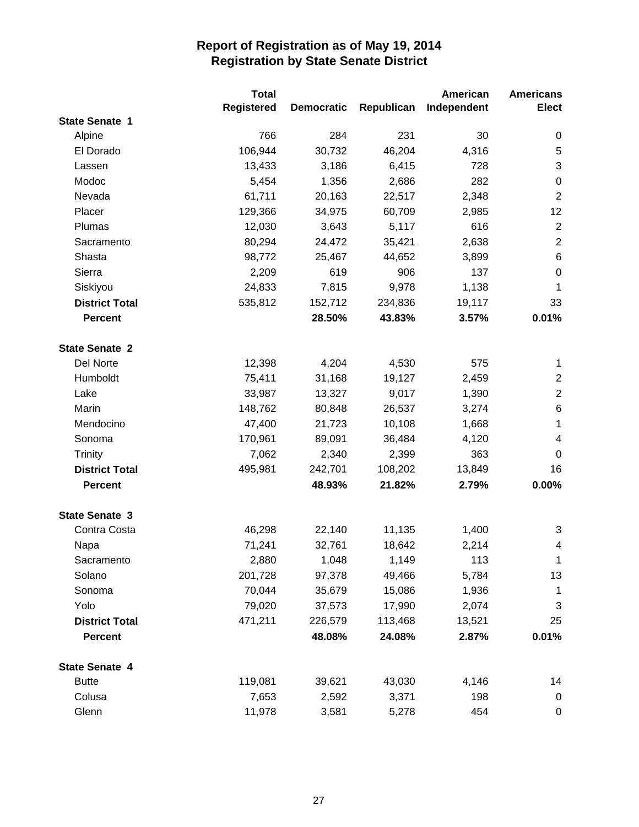|                       | <b>Total</b>      |                   |            | American    | <b>Americans</b>        |
|-----------------------|-------------------|-------------------|------------|-------------|-------------------------|
|                       | <b>Registered</b> | <b>Democratic</b> | Republican | Independent | Elect                   |
| <b>State Senate 1</b> |                   |                   |            |             |                         |
| Alpine                | 766               | 284               | 231        | 30          | $\boldsymbol{0}$        |
| El Dorado             | 106,944           | 30,732            | 46,204     | 4,316       | $\,$ 5 $\,$             |
| Lassen                | 13,433            | 3,186             | 6,415      | 728         | $\sqrt{3}$              |
| Modoc                 | 5,454             | 1,356             | 2,686      | 282         | $\pmb{0}$               |
| Nevada                | 61,711            | 20,163            | 22,517     | 2,348       | $\sqrt{2}$              |
| Placer                | 129,366           | 34,975            | 60,709     | 2,985       | 12                      |
| Plumas                | 12,030            | 3,643             | 5,117      | 616         | $\overline{2}$          |
| Sacramento            | 80,294            | 24,472            | 35,421     | 2,638       | $\overline{2}$          |
| Shasta                | 98,772            | 25,467            | 44,652     | 3,899       | $\,6$                   |
| Sierra                | 2,209             | 619               | 906        | 137         | $\boldsymbol{0}$        |
| Siskiyou              | 24,833            | 7,815             | 9,978      | 1,138       | $\mathbf 1$             |
| <b>District Total</b> | 535,812           | 152,712           | 234,836    | 19,117      | 33                      |
| <b>Percent</b>        |                   | 28.50%            | 43.83%     | 3.57%       | 0.01%                   |
| <b>State Senate 2</b> |                   |                   |            |             |                         |
| Del Norte             | 12,398            | 4,204             | 4,530      | 575         | $\mathbf 1$             |
| Humboldt              | 75,411            | 31,168            | 19,127     | 2,459       | $\mathbf{2}$            |
| Lake                  | 33,987            | 13,327            | 9,017      | 1,390       | $\sqrt{2}$              |
| Marin                 | 148,762           | 80,848            | 26,537     | 3,274       | $\,6$                   |
| Mendocino             | 47,400            | 21,723            | 10,108     | 1,668       | 1                       |
| Sonoma                | 170,961           | 89,091            | 36,484     | 4,120       | $\overline{\mathbf{4}}$ |
| <b>Trinity</b>        | 7,062             | 2,340             | 2,399      | 363         | 0                       |
| <b>District Total</b> | 495,981           | 242,701           | 108,202    | 13,849      | 16                      |
| <b>Percent</b>        |                   | 48.93%            | 21.82%     | 2.79%       | 0.00%                   |
| <b>State Senate 3</b> |                   |                   |            |             |                         |
| Contra Costa          | 46,298            | 22,140            | 11,135     | 1,400       | 3                       |
| Napa                  | 71,241            | 32,761            | 18,642     | 2,214       | $\overline{\mathbf{4}}$ |
| Sacramento            | 2,880             | 1,048             | 1,149      | 113         | $\mathbf{1}$            |
| Solano                | 201,728           | 97,378            | 49,466     | 5,784       | 13                      |
| Sonoma                | 70,044            | 35,679            | 15,086     | 1,936       | $\mathbf{1}$            |
| Yolo                  | 79,020            | 37,573            | 17,990     | 2,074       | 3                       |
| <b>District Total</b> | 471,211           | 226,579           | 113,468    | 13,521      | 25                      |
| <b>Percent</b>        |                   | 48.08%            | 24.08%     | 2.87%       | 0.01%                   |
| <b>State Senate 4</b> |                   |                   |            |             |                         |
| <b>Butte</b>          | 119,081           | 39,621            | 43,030     | 4,146       | 14                      |
| Colusa                | 7,653             | 2,592             | 3,371      | 198         | 0                       |
| Glenn                 | 11,978            | 3,581             | 5,278      | 454         | 0                       |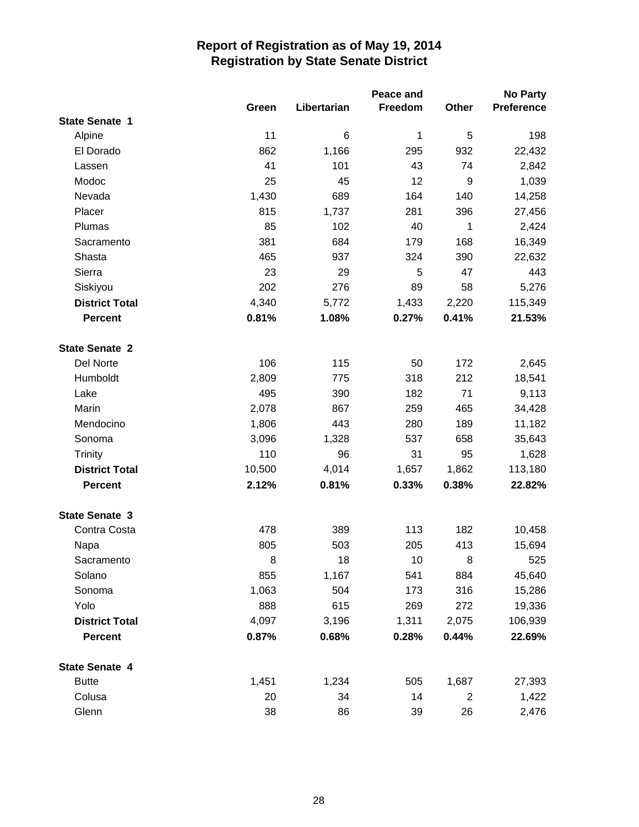|                       |         |             | Peace and |                | <b>No Party</b>   |
|-----------------------|---------|-------------|-----------|----------------|-------------------|
|                       | Green   | Libertarian | Freedom   | Other          | <b>Preference</b> |
| <b>State Senate 1</b> |         |             |           |                |                   |
| Alpine                | 11      | 6           | 1         | 5              | 198               |
| El Dorado             | 862     | 1,166       | 295       | 932            | 22,432            |
| Lassen                | 41      | 101         | 43        | 74             | 2,842             |
| Modoc                 | 25      | 45          | 12        | 9              | 1,039             |
| Nevada                | 1,430   | 689         | 164       | 140            | 14,258            |
| Placer                | 815     | 1,737       | 281       | 396            | 27,456            |
| Plumas                | 85      | 102         | 40        | $\mathbf 1$    | 2,424             |
| Sacramento            | 381     | 684         | 179       | 168            | 16,349            |
| Shasta                | 465     | 937         | 324       | 390            | 22,632            |
| Sierra                | 23      | 29          | 5         | 47             | 443               |
| Siskiyou              | 202     | 276         | 89        | 58             | 5,276             |
| <b>District Total</b> | 4,340   | 5,772       | 1,433     | 2,220          | 115,349           |
| <b>Percent</b>        | 0.81%   | 1.08%       | 0.27%     | 0.41%          | 21.53%            |
| <b>State Senate 2</b> |         |             |           |                |                   |
| Del Norte             | 106     | 115         | 50        | 172            | 2,645             |
| Humboldt              | 2,809   | 775         | 318       | 212            | 18,541            |
| Lake                  | 495     | 390         | 182       | 71             | 9,113             |
| Marin                 | 2,078   | 867         | 259       | 465            | 34,428            |
| Mendocino             | 1,806   | 443         | 280       | 189            | 11,182            |
| Sonoma                | 3,096   | 1,328       | 537       | 658            | 35,643            |
| <b>Trinity</b>        | 110     | 96          | 31        | 95             | 1,628             |
| <b>District Total</b> | 10,500  | 4,014       | 1,657     | 1,862          | 113,180           |
| <b>Percent</b>        | 2.12%   | 0.81%       | 0.33%     | 0.38%          | 22.82%            |
| <b>State Senate 3</b> |         |             |           |                |                   |
| Contra Costa          | 478     | 389         | 113       | 182            | 10,458            |
| Napa                  | 805     | 503         | 205       | 413            | 15,694            |
| Sacramento            | $\,8\,$ | 18          | 10        | 8              | 525               |
| Solano                | 855     | 1,167       | 541       | 884            | 45,640            |
| Sonoma                | 1,063   | 504         | 173       | 316            | 15,286            |
| Yolo                  | 888     | 615         | 269       | 272            | 19,336            |
| <b>District Total</b> | 4,097   | 3,196       | 1,311     | 2,075          | 106,939           |
| <b>Percent</b>        | 0.87%   | 0.68%       | 0.28%     | 0.44%          | 22.69%            |
| <b>State Senate 4</b> |         |             |           |                |                   |
| <b>Butte</b>          | 1,451   | 1,234       | 505       | 1,687          | 27,393            |
| Colusa                | 20      | 34          | 14        | $\overline{c}$ | 1,422             |
| Glenn                 | 38      | 86          | 39        | 26             | 2,476             |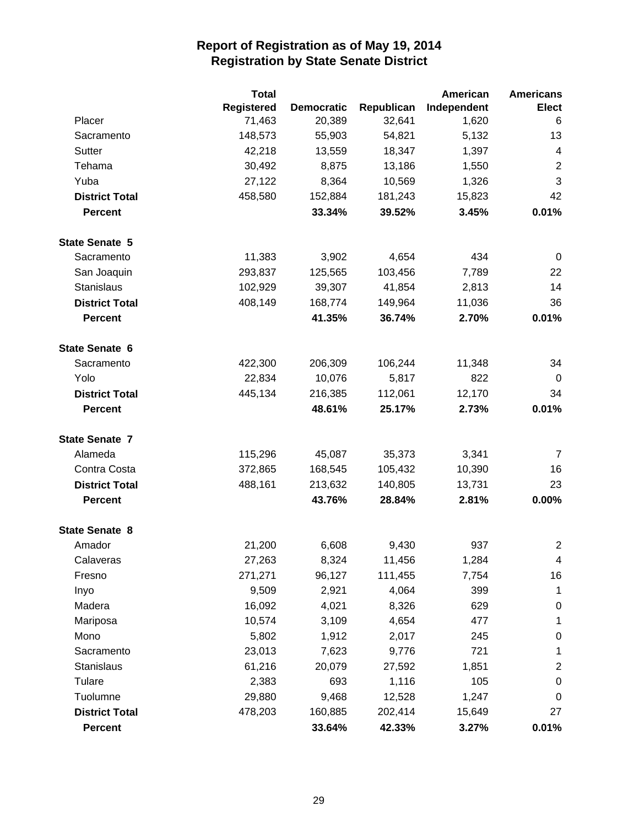|                       | <b>Total</b> |                   |            | American    | <b>Americans</b>        |
|-----------------------|--------------|-------------------|------------|-------------|-------------------------|
|                       | Registered   | <b>Democratic</b> | Republican | Independent | <b>Elect</b>            |
| Placer                | 71,463       | 20,389            | 32,641     | 1,620       | 6                       |
| Sacramento            | 148,573      | 55,903            | 54,821     | 5,132       | 13                      |
| Sutter                | 42,218       | 13,559            | 18,347     | 1,397       | $\overline{\mathbf{4}}$ |
| Tehama                | 30,492       | 8,875             | 13,186     | 1,550       | $\overline{2}$          |
| Yuba                  | 27,122       | 8,364             | 10,569     | 1,326       | 3                       |
| <b>District Total</b> | 458,580      | 152,884           | 181,243    | 15,823      | 42                      |
| <b>Percent</b>        |              | 33.34%            | 39.52%     | 3.45%       | 0.01%                   |
| <b>State Senate 5</b> |              |                   |            |             |                         |
| Sacramento            | 11,383       | 3,902             | 4,654      | 434         | 0                       |
| San Joaquin           | 293,837      | 125,565           | 103,456    | 7,789       | 22                      |
| <b>Stanislaus</b>     | 102,929      | 39,307            | 41,854     | 2,813       | 14                      |
| <b>District Total</b> | 408,149      | 168,774           | 149,964    | 11,036      | 36                      |
| <b>Percent</b>        |              | 41.35%            | 36.74%     | 2.70%       | 0.01%                   |
| <b>State Senate 6</b> |              |                   |            |             |                         |
| Sacramento            | 422,300      | 206,309           | 106,244    | 11,348      | 34                      |
| Yolo                  | 22,834       | 10,076            | 5,817      | 822         | $\overline{0}$          |
| <b>District Total</b> | 445,134      | 216,385           | 112,061    | 12,170      | 34                      |
| <b>Percent</b>        |              | 48.61%            | 25.17%     | 2.73%       | 0.01%                   |
| <b>State Senate 7</b> |              |                   |            |             |                         |
| Alameda               | 115,296      | 45,087            | 35,373     | 3,341       | 7                       |
| Contra Costa          | 372,865      | 168,545           | 105,432    | 10,390      | 16                      |
| <b>District Total</b> | 488,161      | 213,632           | 140,805    | 13,731      | 23                      |
| <b>Percent</b>        |              | 43.76%            | 28.84%     | 2.81%       | 0.00%                   |
| <b>State Senate 8</b> |              |                   |            |             |                         |
| Amador                | 21,200       | 6,608             | 9,430      | 937         | $\overline{2}$          |
| Calaveras             | 27,263       | 8,324             | 11,456     | 1,284       | 4                       |
| Fresno                | 271,271      | 96,127            | 111,455    | 7,754       | 16                      |
| Inyo                  | 9,509        | 2,921             | 4,064      | 399         | 1                       |
| Madera                | 16,092       | 4,021             | 8,326      | 629         | $\pmb{0}$               |
| Mariposa              | 10,574       | 3,109             | 4,654      | 477         | $\mathbf 1$             |
| Mono                  | 5,802        | 1,912             | 2,017      | 245         | $\pmb{0}$               |
| Sacramento            | 23,013       | 7,623             | 9,776      | 721         | 1                       |
| Stanislaus            | 61,216       | 20,079            | 27,592     | 1,851       | $\overline{c}$          |
| Tulare                | 2,383        | 693               | 1,116      | 105         | $\pmb{0}$               |
| Tuolumne              | 29,880       | 9,468             | 12,528     | 1,247       | $\mathbf 0$             |
| <b>District Total</b> | 478,203      | 160,885           | 202,414    | 15,649      | 27                      |
| Percent               |              | 33.64%            | 42.33%     | 3.27%       | 0.01%                   |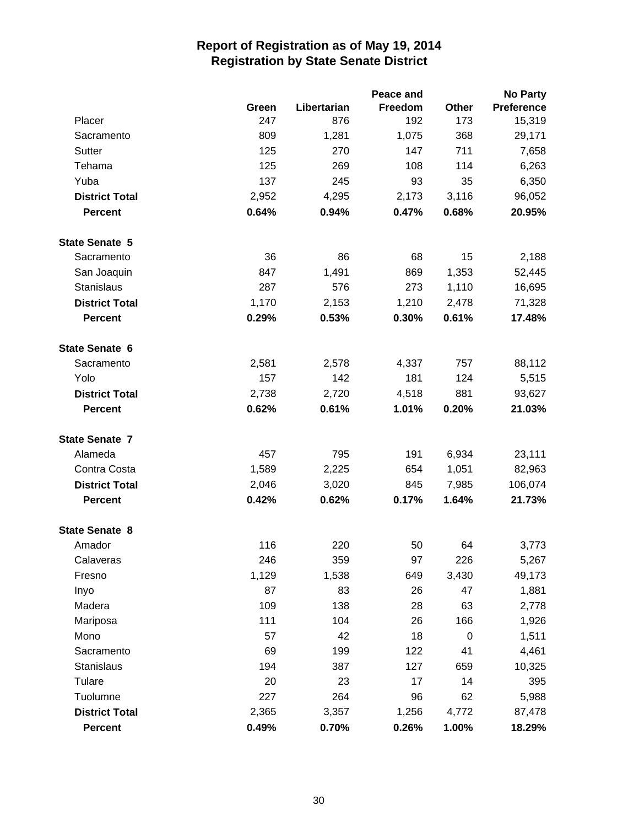|                       |       |             | Peace and |                  | <b>No Party</b>   |
|-----------------------|-------|-------------|-----------|------------------|-------------------|
|                       | Green | Libertarian | Freedom   | Other            | <b>Preference</b> |
| Placer                | 247   | 876         | 192       | 173              | 15,319            |
| Sacramento            | 809   | 1,281       | 1,075     | 368              | 29,171            |
| Sutter                | 125   | 270         | 147       | 711              | 7,658             |
| Tehama                | 125   | 269         | 108       | 114              | 6,263             |
| Yuba                  | 137   | 245         | 93        | 35               | 6,350             |
| <b>District Total</b> | 2,952 | 4,295       | 2,173     | 3,116            | 96,052            |
| <b>Percent</b>        | 0.64% | 0.94%       | 0.47%     | 0.68%            | 20.95%            |
| <b>State Senate 5</b> |       |             |           |                  |                   |
| Sacramento            | 36    | 86          | 68        | 15               | 2,188             |
| San Joaquin           | 847   | 1,491       | 869       | 1,353            | 52,445            |
| Stanislaus            | 287   | 576         | 273       | 1,110            | 16,695            |
| <b>District Total</b> | 1,170 | 2,153       | 1,210     | 2,478            | 71,328            |
| <b>Percent</b>        | 0.29% | 0.53%       | 0.30%     | 0.61%            | 17.48%            |
| State Senate 6        |       |             |           |                  |                   |
| Sacramento            | 2,581 | 2,578       | 4,337     | 757              | 88,112            |
| Yolo                  | 157   | 142         | 181       | 124              | 5,515             |
| <b>District Total</b> | 2,738 | 2,720       | 4,518     | 881              | 93,627            |
| <b>Percent</b>        | 0.62% | 0.61%       | 1.01%     | 0.20%            | 21.03%            |
| <b>State Senate 7</b> |       |             |           |                  |                   |
| Alameda               | 457   | 795         | 191       | 6,934            | 23,111            |
| Contra Costa          | 1,589 | 2,225       | 654       | 1,051            | 82,963            |
| <b>District Total</b> | 2,046 | 3,020       | 845       | 7,985            | 106,074           |
| <b>Percent</b>        | 0.42% | 0.62%       | 0.17%     | 1.64%            | 21.73%            |
| <b>State Senate 8</b> |       |             |           |                  |                   |
| Amador                | 116   | 220         | 50        | 64               | 3,773             |
| Calaveras             | 246   | 359         | 97        | 226              | 5,267             |
| Fresno                | 1,129 | 1,538       | 649       | 3,430            | 49,173            |
| Inyo                  | 87    | 83          | 26        | 47               | 1,881             |
| Madera                | 109   | 138         | 28        | 63               | 2,778             |
| Mariposa              | 111   | 104         | 26        | 166              | 1,926             |
| Mono                  | 57    | 42          | 18        | $\boldsymbol{0}$ | 1,511             |
| Sacramento            | 69    | 199         | 122       | 41               | 4,461             |
| Stanislaus            | 194   | 387         | 127       | 659              | 10,325            |
| Tulare                | 20    | 23          | 17        | 14               | 395               |
| Tuolumne              | 227   | 264         | 96        | 62               | 5,988             |
| <b>District Total</b> | 2,365 | 3,357       | 1,256     | 4,772            | 87,478            |
| <b>Percent</b>        | 0.49% | 0.70%       | 0.26%     | 1.00%            | 18.29%            |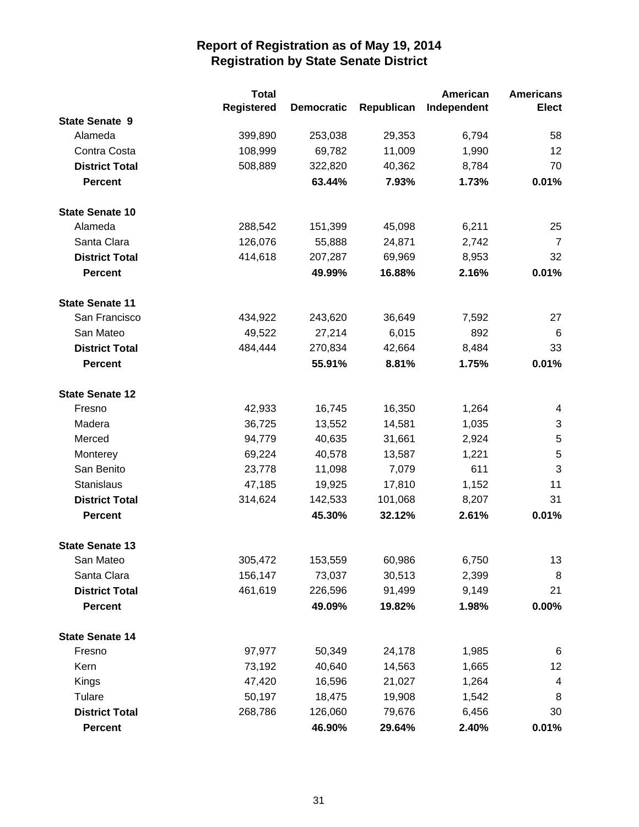|                        | <b>Total</b>      |                   |            | American    | <b>Americans</b> |
|------------------------|-------------------|-------------------|------------|-------------|------------------|
|                        | <b>Registered</b> | <b>Democratic</b> | Republican | Independent | Elect            |
| <b>State Senate 9</b>  |                   |                   |            |             |                  |
| Alameda                | 399,890           | 253,038           | 29,353     | 6,794       | 58               |
| Contra Costa           | 108,999           | 69,782            | 11,009     | 1,990       | 12               |
| <b>District Total</b>  | 508,889           | 322,820           | 40,362     | 8,784       | 70               |
| <b>Percent</b>         |                   | 63.44%            | 7.93%      | 1.73%       | 0.01%            |
| <b>State Senate 10</b> |                   |                   |            |             |                  |
| Alameda                | 288,542           | 151,399           | 45,098     | 6,211       | 25               |
| Santa Clara            | 126,076           | 55,888            | 24,871     | 2,742       | $\overline{7}$   |
| <b>District Total</b>  | 414,618           | 207,287           | 69,969     | 8,953       | 32               |
| <b>Percent</b>         |                   | 49.99%            | 16.88%     | 2.16%       | 0.01%            |
| <b>State Senate 11</b> |                   |                   |            |             |                  |
| San Francisco          | 434,922           | 243,620           | 36,649     | 7,592       | 27               |
| San Mateo              | 49,522            | 27,214            | 6,015      | 892         | 6                |
| <b>District Total</b>  | 484,444           | 270,834           | 42,664     | 8,484       | 33               |
| <b>Percent</b>         |                   | 55.91%            | 8.81%      | 1.75%       | 0.01%            |
| <b>State Senate 12</b> |                   |                   |            |             |                  |
| Fresno                 | 42,933            | 16,745            | 16,350     | 1,264       | 4                |
| Madera                 | 36,725            | 13,552            | 14,581     | 1,035       | 3                |
| Merced                 | 94,779            | 40,635            | 31,661     | 2,924       | 5                |
| Monterey               | 69,224            | 40,578            | 13,587     | 1,221       | 5                |
| San Benito             | 23,778            | 11,098            | 7,079      | 611         | 3                |
| <b>Stanislaus</b>      | 47,185            | 19,925            | 17,810     | 1,152       | 11               |
| <b>District Total</b>  | 314,624           | 142,533           | 101,068    | 8,207       | 31               |
| <b>Percent</b>         |                   | 45.30%            | 32.12%     | 2.61%       | 0.01%            |
| <b>State Senate 13</b> |                   |                   |            |             |                  |
| San Mateo              | 305,472           | 153,559           | 60,986     | 6,750       | 13               |
| Santa Clara            | 156,147           | 73,037            | 30,513     | 2,399       | 8                |
| <b>District Total</b>  | 461,619           | 226,596           | 91,499     | 9,149       | 21               |
| <b>Percent</b>         |                   | 49.09%            | 19.82%     | 1.98%       | 0.00%            |
| <b>State Senate 14</b> |                   |                   |            |             |                  |
| Fresno                 | 97,977            | 50,349            | 24,178     | 1,985       | 6                |
| Kern                   | 73,192            | 40,640            | 14,563     | 1,665       | 12               |
| Kings                  | 47,420            | 16,596            | 21,027     | 1,264       | 4                |
| Tulare                 | 50,197            | 18,475            | 19,908     | 1,542       | 8                |
| <b>District Total</b>  | 268,786           | 126,060           | 79,676     | 6,456       | 30               |
| <b>Percent</b>         |                   | 46.90%            | 29.64%     | 2.40%       | 0.01%            |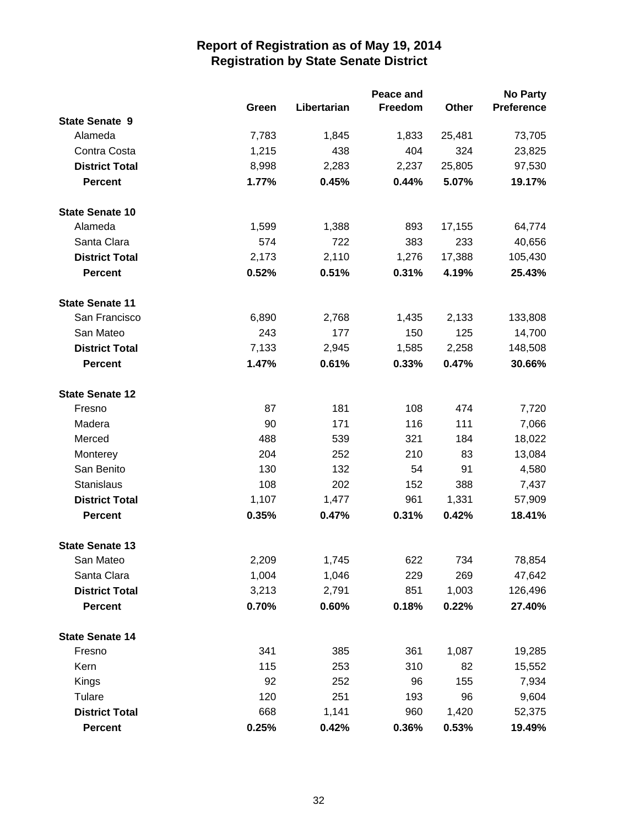|                        |       |             | Peace and |        | <b>No Party</b>   |
|------------------------|-------|-------------|-----------|--------|-------------------|
|                        | Green | Libertarian | Freedom   | Other  | <b>Preference</b> |
| <b>State Senate 9</b>  |       |             |           |        |                   |
| Alameda                | 7,783 | 1,845       | 1,833     | 25,481 | 73,705            |
| Contra Costa           | 1,215 | 438         | 404       | 324    | 23,825            |
| <b>District Total</b>  | 8,998 | 2,283       | 2,237     | 25,805 | 97,530            |
| <b>Percent</b>         | 1.77% | 0.45%       | 0.44%     | 5.07%  | 19.17%            |
| <b>State Senate 10</b> |       |             |           |        |                   |
| Alameda                | 1,599 | 1,388       | 893       | 17,155 | 64,774            |
| Santa Clara            | 574   | 722         | 383       | 233    | 40,656            |
| <b>District Total</b>  | 2,173 | 2,110       | 1,276     | 17,388 | 105,430           |
| <b>Percent</b>         | 0.52% | 0.51%       | 0.31%     | 4.19%  | 25.43%            |
| <b>State Senate 11</b> |       |             |           |        |                   |
| San Francisco          | 6,890 | 2,768       | 1,435     | 2,133  | 133,808           |
| San Mateo              | 243   | 177         | 150       | 125    | 14,700            |
| <b>District Total</b>  | 7,133 | 2,945       | 1,585     | 2,258  | 148,508           |
| <b>Percent</b>         | 1.47% | 0.61%       | 0.33%     | 0.47%  | 30.66%            |
| <b>State Senate 12</b> |       |             |           |        |                   |
| Fresno                 | 87    | 181         | 108       | 474    | 7,720             |
| Madera                 | 90    | 171         | 116       | 111    | 7,066             |
| Merced                 | 488   | 539         | 321       | 184    | 18,022            |
| Monterey               | 204   | 252         | 210       | 83     | 13,084            |
| San Benito             | 130   | 132         | 54        | 91     | 4,580             |
| Stanislaus             | 108   | 202         | 152       | 388    | 7,437             |
| <b>District Total</b>  | 1,107 | 1,477       | 961       | 1,331  | 57,909            |
| <b>Percent</b>         | 0.35% | 0.47%       | 0.31%     | 0.42%  | 18.41%            |
| <b>State Senate 13</b> |       |             |           |        |                   |
| San Mateo              | 2,209 | 1,745       | 622       | 734    | 78,854            |
| Santa Clara            | 1,004 | 1,046       | 229       | 269    | 47,642            |
| <b>District Total</b>  | 3,213 | 2,791       | 851       | 1,003  | 126,496           |
| <b>Percent</b>         | 0.70% | 0.60%       | 0.18%     | 0.22%  | 27.40%            |
| <b>State Senate 14</b> |       |             |           |        |                   |
| Fresno                 | 341   | 385         | 361       | 1,087  | 19,285            |
| Kern                   | 115   | 253         | 310       | 82     | 15,552            |
| Kings                  | 92    | 252         | 96        | 155    | 7,934             |
| Tulare                 | 120   | 251         | 193       | 96     | 9,604             |
| <b>District Total</b>  | 668   | 1,141       | 960       | 1,420  | 52,375            |
| <b>Percent</b>         | 0.25% | 0.42%       | 0.36%     | 0.53%  | 19.49%            |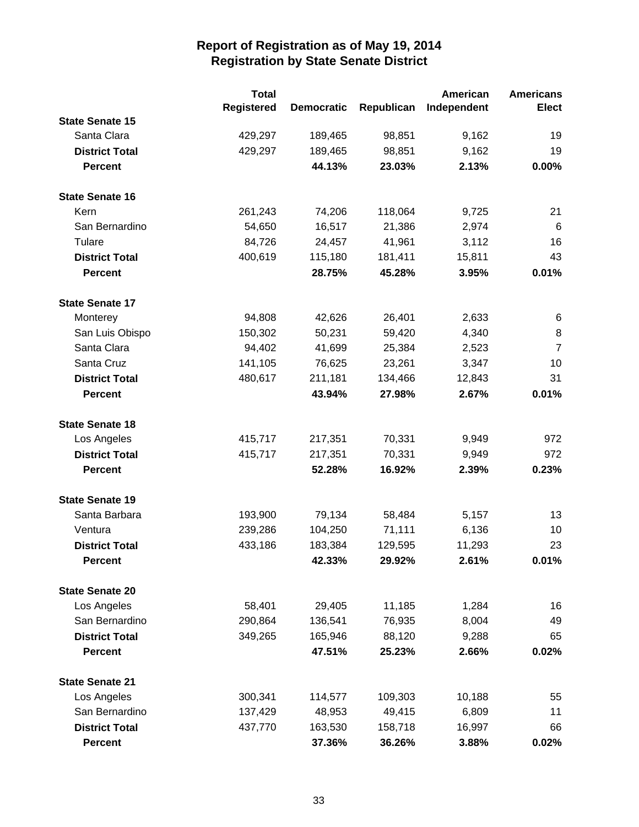|                        | <b>Total</b>      |                   |            | American    | <b>Americans</b> |
|------------------------|-------------------|-------------------|------------|-------------|------------------|
|                        | <b>Registered</b> | <b>Democratic</b> | Republican | Independent | <b>Elect</b>     |
| <b>State Senate 15</b> |                   |                   |            |             |                  |
| Santa Clara            | 429,297           | 189,465           | 98,851     | 9,162       | 19               |
| <b>District Total</b>  | 429,297           | 189,465           | 98,851     | 9,162       | 19               |
| <b>Percent</b>         |                   | 44.13%            | 23.03%     | 2.13%       | 0.00%            |
| <b>State Senate 16</b> |                   |                   |            |             |                  |
| Kern                   | 261,243           | 74,206            | 118,064    | 9,725       | 21               |
| San Bernardino         | 54,650            | 16,517            | 21,386     | 2,974       | 6                |
| Tulare                 | 84,726            | 24,457            | 41,961     | 3,112       | 16               |
| <b>District Total</b>  | 400,619           | 115,180           | 181,411    | 15,811      | 43               |
| <b>Percent</b>         |                   | 28.75%            | 45.28%     | 3.95%       | 0.01%            |
| <b>State Senate 17</b> |                   |                   |            |             |                  |
| Monterey               | 94,808            | 42,626            | 26,401     | 2,633       | 6                |
| San Luis Obispo        | 150,302           | 50,231            | 59,420     | 4,340       | 8                |
| Santa Clara            | 94,402            | 41,699            | 25,384     | 2,523       | $\overline{7}$   |
| Santa Cruz             | 141,105           | 76,625            | 23,261     | 3,347       | 10               |
| <b>District Total</b>  | 480,617           | 211,181           | 134,466    | 12,843      | 31               |
| <b>Percent</b>         |                   | 43.94%            | 27.98%     | 2.67%       | 0.01%            |
| <b>State Senate 18</b> |                   |                   |            |             |                  |
| Los Angeles            | 415,717           | 217,351           | 70,331     | 9,949       | 972              |
| <b>District Total</b>  | 415,717           | 217,351           | 70,331     | 9,949       | 972              |
| <b>Percent</b>         |                   | 52.28%            | 16.92%     | 2.39%       | 0.23%            |
| <b>State Senate 19</b> |                   |                   |            |             |                  |
| Santa Barbara          | 193,900           | 79,134            | 58,484     | 5,157       | 13               |
| Ventura                | 239,286           | 104,250           | 71,111     | 6,136       | 10               |
| <b>District Total</b>  | 433,186           | 183,384           | 129,595    | 11,293      | 23               |
| <b>Percent</b>         |                   | 42.33%            | 29.92%     | 2.61%       | 0.01%            |
| <b>State Senate 20</b> |                   |                   |            |             |                  |
| Los Angeles            | 58,401            | 29,405            | 11,185     | 1,284       | 16               |
| San Bernardino         | 290,864           | 136,541           | 76,935     | 8,004       | 49               |
| <b>District Total</b>  | 349,265           | 165,946           | 88,120     | 9,288       | 65               |
| <b>Percent</b>         |                   | 47.51%            | 25.23%     | 2.66%       | 0.02%            |
| <b>State Senate 21</b> |                   |                   |            |             |                  |
| Los Angeles            | 300,341           | 114,577           | 109,303    | 10,188      | 55               |
| San Bernardino         | 137,429           | 48,953            | 49,415     | 6,809       | 11               |
| <b>District Total</b>  | 437,770           | 163,530           | 158,718    | 16,997      | 66               |
| <b>Percent</b>         |                   | 37.36%            | 36.26%     | 3.88%       | 0.02%            |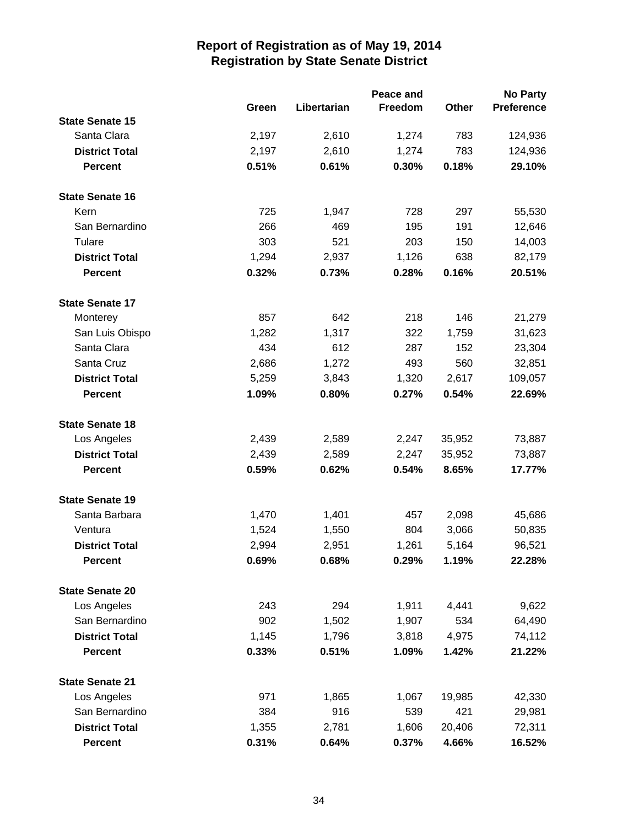|                        |       |             | Peace and |        | <b>No Party</b> |
|------------------------|-------|-------------|-----------|--------|-----------------|
|                        | Green | Libertarian | Freedom   | Other  | Preference      |
| <b>State Senate 15</b> |       |             |           |        |                 |
| Santa Clara            | 2,197 | 2,610       | 1,274     | 783    | 124,936         |
| <b>District Total</b>  | 2,197 | 2,610       | 1,274     | 783    | 124,936         |
| <b>Percent</b>         | 0.51% | 0.61%       | 0.30%     | 0.18%  | 29.10%          |
| <b>State Senate 16</b> |       |             |           |        |                 |
| Kern                   | 725   | 1,947       | 728       | 297    | 55,530          |
| San Bernardino         | 266   | 469         | 195       | 191    | 12,646          |
| Tulare                 | 303   | 521         | 203       | 150    | 14,003          |
| <b>District Total</b>  | 1,294 | 2,937       | 1,126     | 638    | 82,179          |
| <b>Percent</b>         | 0.32% | 0.73%       | 0.28%     | 0.16%  | 20.51%          |
| <b>State Senate 17</b> |       |             |           |        |                 |
| Monterey               | 857   | 642         | 218       | 146    | 21,279          |
| San Luis Obispo        | 1,282 | 1,317       | 322       | 1,759  | 31,623          |
| Santa Clara            | 434   | 612         | 287       | 152    | 23,304          |
| Santa Cruz             | 2,686 | 1,272       | 493       | 560    | 32,851          |
| <b>District Total</b>  | 5,259 | 3,843       | 1,320     | 2,617  | 109,057         |
| <b>Percent</b>         | 1.09% | 0.80%       | 0.27%     | 0.54%  | 22.69%          |
| <b>State Senate 18</b> |       |             |           |        |                 |
| Los Angeles            | 2,439 | 2,589       | 2,247     | 35,952 | 73,887          |
| <b>District Total</b>  | 2,439 | 2,589       | 2,247     | 35,952 | 73,887          |
| <b>Percent</b>         | 0.59% | 0.62%       | 0.54%     | 8.65%  | 17.77%          |
| <b>State Senate 19</b> |       |             |           |        |                 |
| Santa Barbara          | 1,470 | 1,401       | 457       | 2,098  | 45,686          |
| Ventura                | 1,524 | 1,550       | 804       | 3,066  | 50,835          |
| <b>District Total</b>  | 2,994 | 2,951       | 1,261     | 5,164  | 96,521          |
| <b>Percent</b>         | 0.69% | 0.68%       | 0.29%     | 1.19%  | 22.28%          |
| <b>State Senate 20</b> |       |             |           |        |                 |
| Los Angeles            | 243   | 294         | 1,911     | 4,441  | 9,622           |
| San Bernardino         | 902   | 1,502       | 1,907     | 534    | 64,490          |
| <b>District Total</b>  | 1,145 | 1,796       | 3,818     | 4,975  | 74,112          |
| <b>Percent</b>         | 0.33% | 0.51%       | 1.09%     | 1.42%  | 21.22%          |
| <b>State Senate 21</b> |       |             |           |        |                 |
| Los Angeles            | 971   | 1,865       | 1,067     | 19,985 | 42,330          |
| San Bernardino         | 384   | 916         | 539       | 421    | 29,981          |
| <b>District Total</b>  | 1,355 | 2,781       | 1,606     | 20,406 | 72,311          |
| <b>Percent</b>         | 0.31% | 0.64%       | 0.37%     | 4.66%  | 16.52%          |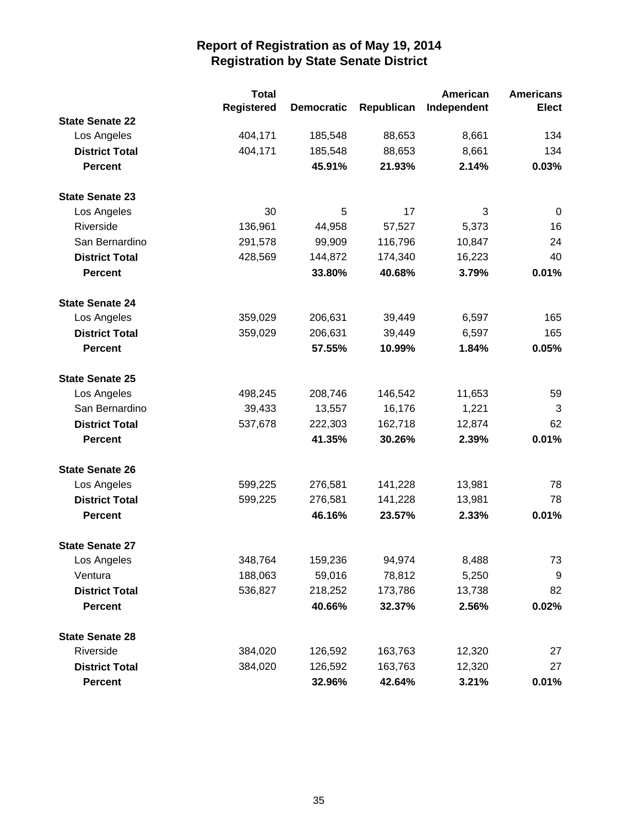|                        | <b>Total</b>      |                   |            | American    | <b>Americans</b> |
|------------------------|-------------------|-------------------|------------|-------------|------------------|
|                        | <b>Registered</b> | <b>Democratic</b> | Republican | Independent | <b>Elect</b>     |
| <b>State Senate 22</b> |                   |                   |            |             |                  |
| Los Angeles            | 404,171           | 185,548           | 88,653     | 8,661       | 134              |
| <b>District Total</b>  | 404,171           | 185,548           | 88,653     | 8,661       | 134              |
| <b>Percent</b>         |                   | 45.91%            | 21.93%     | 2.14%       | 0.03%            |
| <b>State Senate 23</b> |                   |                   |            |             |                  |
| Los Angeles            | 30                | 5                 | 17         | 3           | 0                |
| Riverside              | 136,961           | 44,958            | 57,527     | 5,373       | 16               |
| San Bernardino         | 291,578           | 99,909            | 116,796    | 10,847      | 24               |
| <b>District Total</b>  | 428,569           | 144,872           | 174,340    | 16,223      | 40               |
| <b>Percent</b>         |                   | 33.80%            | 40.68%     | 3.79%       | 0.01%            |
| <b>State Senate 24</b> |                   |                   |            |             |                  |
| Los Angeles            | 359,029           | 206,631           | 39,449     | 6,597       | 165              |
| <b>District Total</b>  | 359,029           | 206,631           | 39,449     | 6,597       | 165              |
| <b>Percent</b>         |                   | 57.55%            | 10.99%     | 1.84%       | 0.05%            |
| <b>State Senate 25</b> |                   |                   |            |             |                  |
| Los Angeles            | 498,245           | 208,746           | 146,542    | 11,653      | 59               |
| San Bernardino         | 39,433            | 13,557            | 16,176     | 1,221       | 3                |
| <b>District Total</b>  | 537,678           | 222,303           | 162,718    | 12,874      | 62               |
| <b>Percent</b>         |                   | 41.35%            | 30.26%     | 2.39%       | 0.01%            |
| <b>State Senate 26</b> |                   |                   |            |             |                  |
| Los Angeles            | 599,225           | 276,581           | 141,228    | 13,981      | 78               |
| <b>District Total</b>  | 599,225           | 276,581           | 141,228    | 13,981      | 78               |
| <b>Percent</b>         |                   | 46.16%            | 23.57%     | 2.33%       | 0.01%            |
| <b>State Senate 27</b> |                   |                   |            |             |                  |
| Los Angeles            | 348,764           | 159,236           | 94,974     | 8,488       | 73               |
| Ventura                | 188,063           | 59,016            | 78,812     | 5,250       | 9                |
| <b>District Total</b>  | 536,827           | 218,252           | 173,786    | 13,738      | 82               |
| <b>Percent</b>         |                   | 40.66%            | 32.37%     | 2.56%       | 0.02%            |
| <b>State Senate 28</b> |                   |                   |            |             |                  |
| Riverside              | 384,020           | 126,592           | 163,763    | 12,320      | 27               |
| <b>District Total</b>  | 384,020           | 126,592           | 163,763    | 12,320      | 27               |
| <b>Percent</b>         |                   | 32.96%            | 42.64%     | 3.21%       | 0.01%            |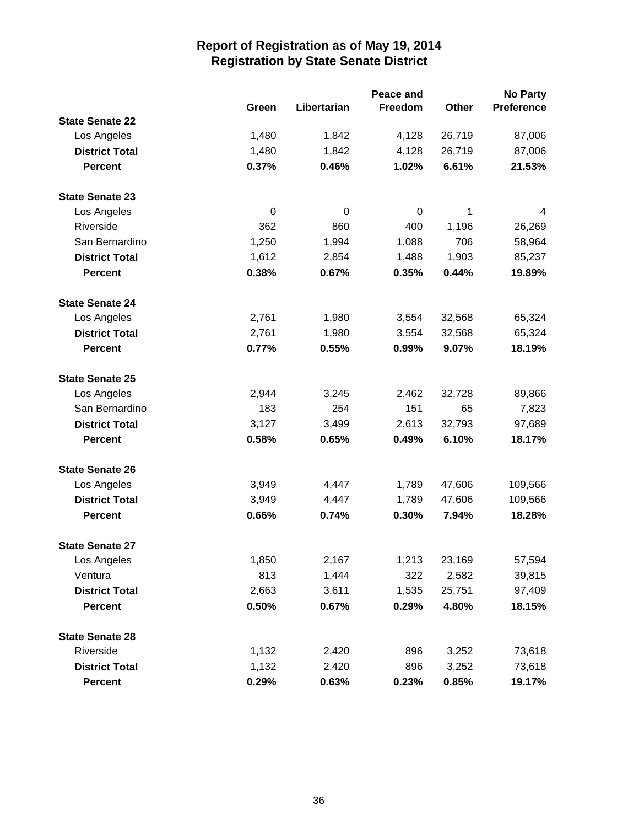|                        |       |             | Peace and |        | <b>No Party</b>   |
|------------------------|-------|-------------|-----------|--------|-------------------|
|                        | Green | Libertarian | Freedom   | Other  | <b>Preference</b> |
| <b>State Senate 22</b> |       |             |           |        |                   |
| Los Angeles            | 1,480 | 1,842       | 4,128     | 26,719 | 87,006            |
| <b>District Total</b>  | 1,480 | 1,842       | 4,128     | 26,719 | 87,006            |
| <b>Percent</b>         | 0.37% | 0.46%       | 1.02%     | 6.61%  | 21.53%            |
| <b>State Senate 23</b> |       |             |           |        |                   |
| Los Angeles            | 0     | 0           | 0         | 1      | 4                 |
| Riverside              | 362   | 860         | 400       | 1,196  | 26,269            |
| San Bernardino         | 1,250 | 1,994       | 1,088     | 706    | 58,964            |
| <b>District Total</b>  | 1,612 | 2,854       | 1,488     | 1,903  | 85,237            |
| <b>Percent</b>         | 0.38% | 0.67%       | 0.35%     | 0.44%  | 19.89%            |
| <b>State Senate 24</b> |       |             |           |        |                   |
| Los Angeles            | 2,761 | 1,980       | 3,554     | 32,568 | 65,324            |
| <b>District Total</b>  | 2,761 | 1,980       | 3,554     | 32,568 | 65,324            |
| <b>Percent</b>         | 0.77% | 0.55%       | 0.99%     | 9.07%  | 18.19%            |
| <b>State Senate 25</b> |       |             |           |        |                   |
| Los Angeles            | 2,944 | 3,245       | 2,462     | 32,728 | 89,866            |
| San Bernardino         | 183   | 254         | 151       | 65     | 7,823             |
| <b>District Total</b>  | 3,127 | 3,499       | 2,613     | 32,793 | 97,689            |
| <b>Percent</b>         | 0.58% | 0.65%       | 0.49%     | 6.10%  | 18.17%            |
| <b>State Senate 26</b> |       |             |           |        |                   |
| Los Angeles            | 3,949 | 4,447       | 1,789     | 47,606 | 109,566           |
| <b>District Total</b>  | 3,949 | 4,447       | 1,789     | 47,606 | 109,566           |
| <b>Percent</b>         | 0.66% | 0.74%       | 0.30%     | 7.94%  | 18.28%            |
| <b>State Senate 27</b> |       |             |           |        |                   |
| Los Angeles            | 1,850 | 2,167       | 1,213     | 23,169 | 57,594            |
| Ventura                | 813   | 1,444       | 322       | 2,582  | 39,815            |
| <b>District Total</b>  | 2,663 | 3,611       | 1,535     | 25,751 | 97,409            |
| <b>Percent</b>         | 0.50% | 0.67%       | 0.29%     | 4.80%  | 18.15%            |
| <b>State Senate 28</b> |       |             |           |        |                   |
| Riverside              | 1,132 | 2,420       | 896       | 3,252  | 73,618            |
| <b>District Total</b>  | 1,132 | 2,420       | 896       | 3,252  | 73,618            |
| <b>Percent</b>         | 0.29% | 0.63%       | 0.23%     | 0.85%  | 19.17%            |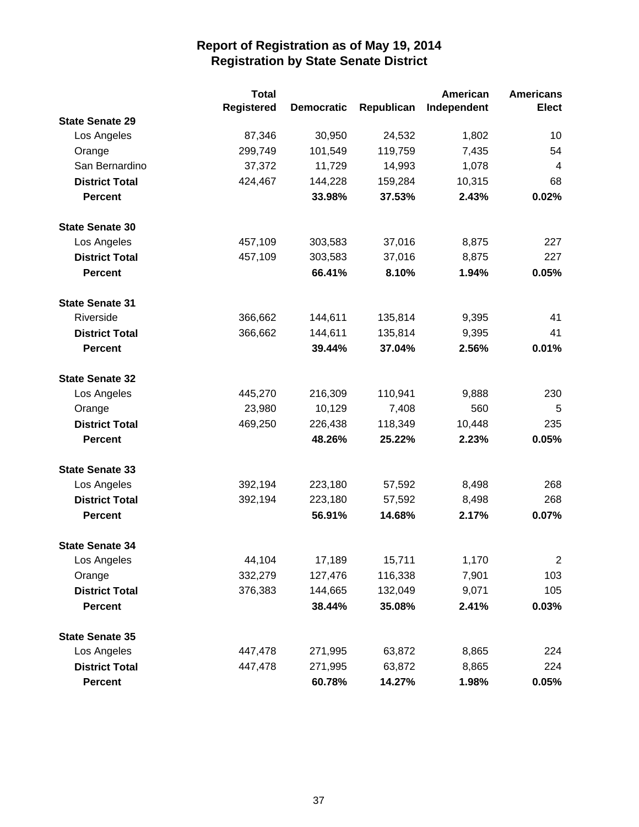|                        | <b>Total</b>      |                   |            | American    | <b>Americans</b> |
|------------------------|-------------------|-------------------|------------|-------------|------------------|
|                        | <b>Registered</b> | <b>Democratic</b> | Republican | Independent | <b>Elect</b>     |
| <b>State Senate 29</b> |                   |                   |            |             |                  |
| Los Angeles            | 87,346            | 30,950            | 24,532     | 1,802       | 10               |
| Orange                 | 299,749           | 101,549           | 119,759    | 7,435       | 54               |
| San Bernardino         | 37,372            | 11,729            | 14,993     | 1,078       | $\overline{4}$   |
| <b>District Total</b>  | 424,467           | 144,228           | 159,284    | 10,315      | 68               |
| <b>Percent</b>         |                   | 33.98%            | 37.53%     | 2.43%       | 0.02%            |
| <b>State Senate 30</b> |                   |                   |            |             |                  |
| Los Angeles            | 457,109           | 303,583           | 37,016     | 8,875       | 227              |
| <b>District Total</b>  | 457,109           | 303,583           | 37,016     | 8,875       | 227              |
| <b>Percent</b>         |                   | 66.41%            | 8.10%      | 1.94%       | 0.05%            |
| <b>State Senate 31</b> |                   |                   |            |             |                  |
| Riverside              | 366,662           | 144,611           | 135,814    | 9,395       | 41               |
| <b>District Total</b>  | 366,662           | 144,611           | 135,814    | 9,395       | 41               |
| <b>Percent</b>         |                   | 39.44%            | 37.04%     | 2.56%       | 0.01%            |
| <b>State Senate 32</b> |                   |                   |            |             |                  |
| Los Angeles            | 445,270           | 216,309           | 110,941    | 9,888       | 230              |
| Orange                 | 23,980            | 10,129            | 7,408      | 560         | 5                |
| <b>District Total</b>  | 469,250           | 226,438           | 118,349    | 10,448      | 235              |
| <b>Percent</b>         |                   | 48.26%            | 25.22%     | 2.23%       | 0.05%            |
| <b>State Senate 33</b> |                   |                   |            |             |                  |
| Los Angeles            | 392,194           | 223,180           | 57,592     | 8,498       | 268              |
| <b>District Total</b>  | 392,194           | 223,180           | 57,592     | 8,498       | 268              |
| <b>Percent</b>         |                   | 56.91%            | 14.68%     | 2.17%       | 0.07%            |
| <b>State Senate 34</b> |                   |                   |            |             |                  |
| Los Angeles            | 44,104            | 17,189            | 15,711     | 1,170       | $\overline{2}$   |
| Orange                 | 332,279           | 127,476           | 116,338    | 7,901       | 103              |
| <b>District Total</b>  | 376,383           | 144,665           | 132,049    | 9,071       | 105              |
| <b>Percent</b>         |                   | 38.44%            | 35.08%     | 2.41%       | 0.03%            |
| <b>State Senate 35</b> |                   |                   |            |             |                  |
| Los Angeles            | 447,478           | 271,995           | 63,872     | 8,865       | 224              |
| <b>District Total</b>  | 447,478           | 271,995           | 63,872     | 8,865       | 224              |
| <b>Percent</b>         |                   | 60.78%            | 14.27%     | 1.98%       | 0.05%            |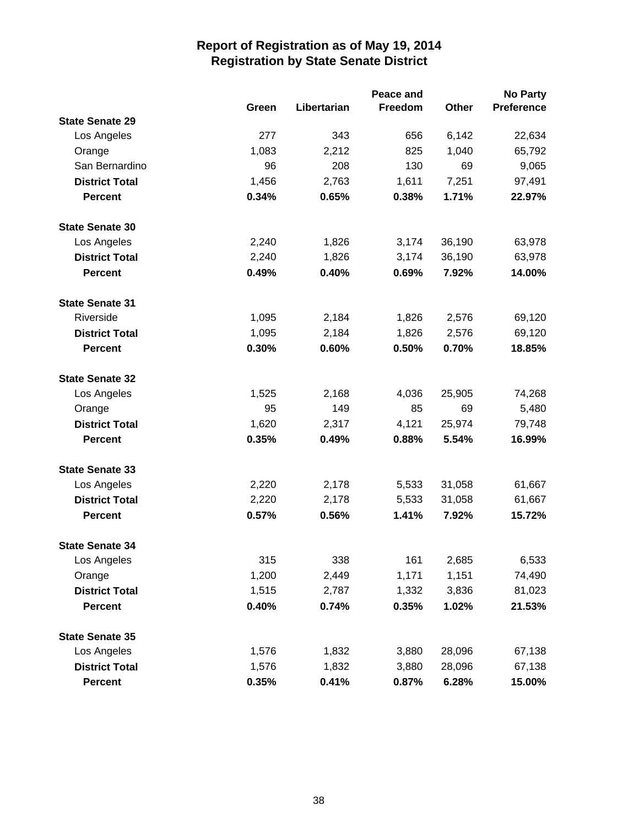|                        |       |             | Peace and |        | <b>No Party</b>   |
|------------------------|-------|-------------|-----------|--------|-------------------|
|                        | Green | Libertarian | Freedom   | Other  | <b>Preference</b> |
| <b>State Senate 29</b> |       |             |           |        |                   |
| Los Angeles            | 277   | 343         | 656       | 6,142  | 22,634            |
| Orange                 | 1,083 | 2,212       | 825       | 1,040  | 65,792            |
| San Bernardino         | 96    | 208         | 130       | 69     | 9,065             |
| <b>District Total</b>  | 1,456 | 2,763       | 1,611     | 7,251  | 97,491            |
| <b>Percent</b>         | 0.34% | 0.65%       | 0.38%     | 1.71%  | 22.97%            |
| <b>State Senate 30</b> |       |             |           |        |                   |
| Los Angeles            | 2,240 | 1,826       | 3,174     | 36,190 | 63,978            |
| <b>District Total</b>  | 2,240 | 1,826       | 3,174     | 36,190 | 63,978            |
| <b>Percent</b>         | 0.49% | 0.40%       | 0.69%     | 7.92%  | 14.00%            |
| <b>State Senate 31</b> |       |             |           |        |                   |
| Riverside              | 1,095 | 2,184       | 1,826     | 2,576  | 69,120            |
| <b>District Total</b>  | 1,095 | 2,184       | 1,826     | 2,576  | 69,120            |
| <b>Percent</b>         | 0.30% | 0.60%       | 0.50%     | 0.70%  | 18.85%            |
| <b>State Senate 32</b> |       |             |           |        |                   |
| Los Angeles            | 1,525 | 2,168       | 4,036     | 25,905 | 74,268            |
| Orange                 | 95    | 149         | 85        | 69     | 5,480             |
| <b>District Total</b>  | 1,620 | 2,317       | 4,121     | 25,974 | 79,748            |
| <b>Percent</b>         | 0.35% | 0.49%       | 0.88%     | 5.54%  | 16.99%            |
| <b>State Senate 33</b> |       |             |           |        |                   |
| Los Angeles            | 2,220 | 2,178       | 5,533     | 31,058 | 61,667            |
| <b>District Total</b>  | 2,220 | 2,178       | 5,533     | 31,058 | 61,667            |
| <b>Percent</b>         | 0.57% | 0.56%       | 1.41%     | 7.92%  | 15.72%            |
| <b>State Senate 34</b> |       |             |           |        |                   |
| Los Angeles            | 315   | 338         | 161       | 2,685  | 6,533             |
| Orange                 | 1,200 | 2,449       | 1,171     | 1,151  | 74,490            |
| <b>District Total</b>  | 1,515 | 2,787       | 1,332     | 3,836  | 81,023            |
| <b>Percent</b>         | 0.40% | 0.74%       | 0.35%     | 1.02%  | 21.53%            |
| <b>State Senate 35</b> |       |             |           |        |                   |
| Los Angeles            | 1,576 | 1,832       | 3,880     | 28,096 | 67,138            |
| <b>District Total</b>  | 1,576 | 1,832       | 3,880     | 28,096 | 67,138            |
| <b>Percent</b>         | 0.35% | 0.41%       | 0.87%     | 6.28%  | 15.00%            |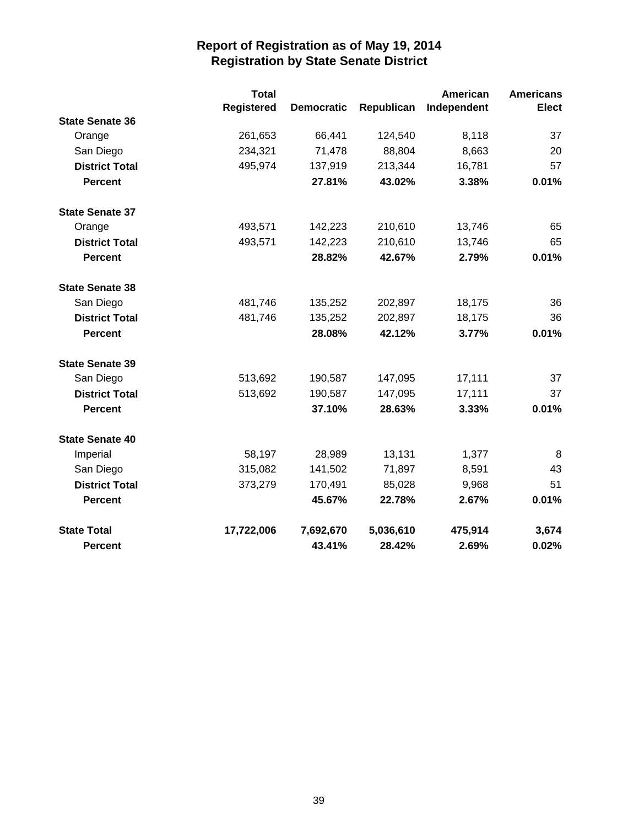|                        | <b>Total</b>      |                   |            | American    | <b>Americans</b> |
|------------------------|-------------------|-------------------|------------|-------------|------------------|
|                        | <b>Registered</b> | <b>Democratic</b> | Republican | Independent | <b>Elect</b>     |
| <b>State Senate 36</b> |                   |                   |            |             |                  |
| Orange                 | 261,653           | 66,441            | 124,540    | 8,118       | 37               |
| San Diego              | 234,321           | 71,478            | 88,804     | 8,663       | 20               |
| <b>District Total</b>  | 495,974           | 137,919           | 213,344    | 16,781      | 57               |
| <b>Percent</b>         |                   | 27.81%            | 43.02%     | 3.38%       | 0.01%            |
| <b>State Senate 37</b> |                   |                   |            |             |                  |
| Orange                 | 493,571           | 142,223           | 210,610    | 13,746      | 65               |
| <b>District Total</b>  | 493,571           | 142,223           | 210,610    | 13,746      | 65               |
| <b>Percent</b>         |                   | 28.82%            | 42.67%     | 2.79%       | 0.01%            |
| <b>State Senate 38</b> |                   |                   |            |             |                  |
| San Diego              | 481,746           | 135,252           | 202,897    | 18,175      | 36               |
| <b>District Total</b>  | 481,746           | 135,252           | 202,897    | 18,175      | 36               |
| <b>Percent</b>         |                   | 28.08%            | 42.12%     | 3.77%       | 0.01%            |
| <b>State Senate 39</b> |                   |                   |            |             |                  |
| San Diego              | 513,692           | 190,587           | 147,095    | 17,111      | 37               |
| <b>District Total</b>  | 513,692           | 190,587           | 147,095    | 17,111      | 37               |
| <b>Percent</b>         |                   | 37.10%            | 28.63%     | 3.33%       | 0.01%            |
| <b>State Senate 40</b> |                   |                   |            |             |                  |
| Imperial               | 58,197            | 28,989            | 13,131     | 1,377       | 8                |
| San Diego              | 315,082           | 141,502           | 71,897     | 8,591       | 43               |
| <b>District Total</b>  | 373,279           | 170,491           | 85,028     | 9,968       | 51               |
| <b>Percent</b>         |                   | 45.67%            | 22.78%     | 2.67%       | 0.01%            |
| <b>State Total</b>     | 17,722,006        | 7,692,670         | 5,036,610  | 475,914     | 3,674            |
| <b>Percent</b>         |                   | 43.41%            | 28.42%     | 2.69%       | 0.02%            |